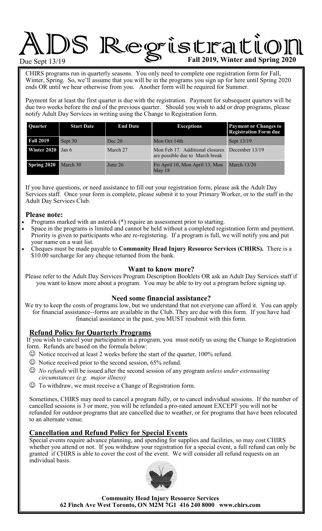# ADS Regristration Cultip

CHIRS programs run in quarterly seasons. You only need to complete one registration form for Fall, Winter, Spring. So, we'll assume that you will be in the programs you sign up for here until Spring 2020 ends OR until we hear otherwise from you. Another form will be required for Summer.

Payment for at least the first quarter is due with the registration. Payment for subsequent quarters will be due two weeks before the end of the previous quarter. Should you wish to add or drop programs, please notify Adult Day Services in writing using the Change to Registration form.

| <b>Ouarter</b>           | <b>Start Date</b> | <b>End Date</b> | <b>Exceptions</b>                                                  | <b>Payment or Changes to</b><br><b>Registration Form due</b> |  |
|--------------------------|-------------------|-----------------|--------------------------------------------------------------------|--------------------------------------------------------------|--|
| <b>Fall 2019</b>         | Sept 30           | Dec 20          | Mon Oct 14th                                                       | Sept 13/19                                                   |  |
| <b>Winter 2020</b> Jan 6 |                   | March 27        | Mon Feb 17. Additional closures<br>are possible due to March break | December 13/19                                               |  |
| Spring 2020              | March 30          | June 26         | Fri April 10, Mon April 13, Mon<br>May $18$                        | <b>March 13/20</b>                                           |  |

If you have questions, or need assistance to fill out your registration form, please ask the Adult Day Services staff. Once your form is complete, please submit it to your Primary Worker, or to the staff in the Adult Day Services Club.

#### **Please note:**

- Programs marked with an asterisk (\*) require an assessment prior to starting.
- Space in the programs is limited and cannot be held without a completed registration form and payment. Priority is given to participants who are re-registering. If a program is full, we will notify you and put your name on a wait list.
- Cheques must be made payable to **Community Head Injury Resource Services (CHIRS).** There is a \$10.00 surcharge for any cheque returned from the bank.

#### **Want to know more?**

Please refer to the Adult Day Services Program Description Booklets OR ask an Adult Day Services staff if you want to know more about a program. You may be able to try out a program before signing up.

#### **Need some financial assistance?**

We try to keep the costs of programs low, but we understand that not everyone can afford it. You can apply for financial assistance--forms are available in the Club. They are due with this form. If you have had financial assistance in the past, you MUST resubmit with this form.

#### **Refund Policy for Quarterly Programs**

If you wish to cancel your participation in a program, you must notify us using the Change to Registration form. Refunds are based on the formula below:

- $\odot$  Notice received at least 2 weeks before the start of the quarter, 100% refund.
- $\odot$  Notice received prior to the second session, 65% refund.
- *No refunds* will be issued after the second session of any program *unless under extenuating circumstances (e.g. major illness)*
- To withdraw, we must receive a Change of Registration form.

Sometimes, CHIRS may need to cancel a program fully, or to cancel individual sessions. If the number of cancelled sessions is 3 or more, you will be refunded a pro-rated amount EXCEPT you will not be refunded for outdoor programs that are cancelled due to weather, or for programs that have been relocated to an alternate venue.

## **Cancellation and Refund Policy for Special Events**

Special events require advance planning, and spending for supplies and facilities, so may cost CHIRS whether you attend or not. If you withdraw your registration for a special event, a full refund can only be granted if CHIRS is able to cover the cost of the event. We will consider all refund requests on an individual basis.



**Community Head Injury Resource Services 62 Finch Ave West Toronto, ON M2M 7G1 416 240 8000 www.chirs.com**